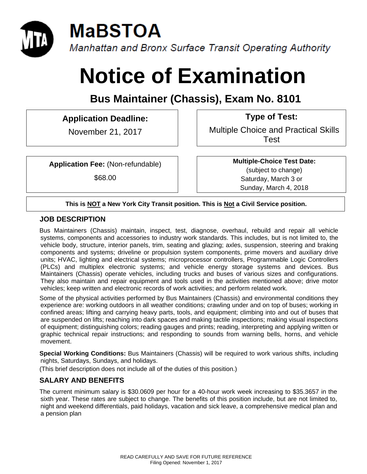

# **Notice of Examination**

**Bus Maintainer (Chassis), Exam No. 8101** 

## **Application Deadline: Type of Test:**

November 21, 2017 | | Multiple Choice and Practical Skills Test

**Application Fee:** (Non-refundable)

\$68.00

**Multiple-Choice Test Date:** (subject to change) Saturday, March 3 or Sunday, March 4, 2018

#### **This is NOT a New York City Transit position. This is Not a Civil Service position.**

#### **JOB DESCRIPTION**

Bus Maintainers (Chassis) maintain, inspect, test, diagnose, overhaul, rebuild and repair all vehicle systems, components and accessories to industry work standards. This includes, but is not limited to, the vehicle body, structure, interior panels, trim, seating and glazing; axles, suspension, steering and braking components and systems; driveline or propulsion system components, prime movers and auxiliary drive units; HVAC, lighting and electrical systems; microprocessor controllers, Programmable Logic Controllers (PLCs) and multiplex electronic systems; and vehicle energy storage systems and devices. Bus Maintainers (Chassis) operate vehicles, including trucks and buses of various sizes and configurations. They also maintain and repair equipment and tools used in the activities mentioned above; drive motor vehicles; keep written and electronic records of work activities; and perform related work.

Some of the physical activities performed by Bus Maintainers (Chassis) and environmental conditions they experience are: working outdoors in all weather conditions; crawling under and on top of buses; working in confined areas; lifting and carrying heavy parts, tools, and equipment; climbing into and out of buses that are suspended on lifts; reaching into dark spaces and making tactile inspections; making visual inspections of equipment; distinguishing colors; reading gauges and prints; reading, interpreting and applying written or graphic technical repair instructions; and responding to sounds from warning bells, horns, and vehicle movement.

**Special Working Conditions:** Bus Maintainers (Chassis) will be required to work various shifts, including nights, Saturdays, Sundays, and holidays.

(This brief description does not include all of the duties of this position.)

## **SALARY AND BENEFITS**

The current minimum salary is \$30.0609 per hour for a 40-hour work week increasing to \$35.3657 in the sixth year. These rates are subject to change. The benefits of this position include, but are not limited to, night and weekend differentials, paid holidays, vacation and sick leave, a comprehensive medical plan and a pension plan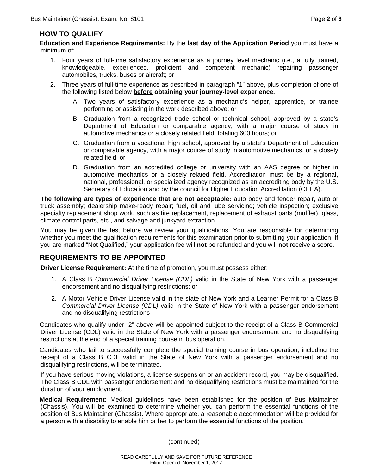#### **HOW TO QUALIFY**

**Education and Experience Requirements:** By the **last day of the Application Period** you must have a minimum of:

- 1. Four years of full-time satisfactory experience as a journey level mechanic (i.e., a fully trained, knowledgeable, experienced, proficient and competent mechanic) repairing passenger automobiles, trucks, buses or aircraft; or
- 2. Three years of full-time experience as described in paragraph "1" above, plus completion of one of the following listed below **before obtaining your journey-level experience.**
	- A. Two years of satisfactory experience as a mechanic's helper, apprentice, or trainee performing or assisting in the work described above; or
	- B. Graduation from a recognized trade school or technical school, approved by a state's Department of Education or comparable agency, with a major course of study in automotive mechanics or a closely related field, totaling 600 hours; or
	- C. Graduation from a vocational high school, approved by a state's Department of Education or comparable agency, with a major course of study in automotive mechanics, or a closely related field; or
	- D. Graduation from an accredited college or university with an AAS degree or higher in automotive mechanics or a closely related field. Accreditation must be by a regional, national, professional, or specialized agency recognized as an accrediting body by the U.S. Secretary of Education and by the council for Higher Education Accreditation (CHEA).

**The following are types of experience that are not acceptable:** auto body and fender repair, auto or truck assembly; dealership make-ready repair; fuel, oil and lube servicing; vehicle inspection; exclusive specialty replacement shop work, such as tire replacement, replacement of exhaust parts (muffler), glass, climate control parts, etc., and salvage and junkyard extraction.

You may be given the test before we review your qualifications. You are responsible for determining whether you meet the qualification requirements for this examination prior to submitting your application. If you are marked "Not Qualified," your application fee will **not** be refunded and you will **not** receive a score.

#### **REQUIREMENTS TO BE APPOINTED**

**Driver License Requirement:** At the time of promotion, you must possess either:

- 1. A Class B *Commercial Driver License (CDL)* valid in the State of New York with a passenger endorsement and no disqualifying restrictions; or
- 2. A Motor Vehicle Driver License valid in the state of New York and a Learner Permit for a Class B *Commercial Driver License (CDL)* valid in the State of New York with a passenger endorsement and no disqualifying restrictions

Candidates who qualify under "2" above will be appointed subject to the receipt of a Class B Commercial Driver License (CDL) valid in the State of New York with a passenger endorsement and no disqualifying restrictions at the end of a special training course in bus operation.

Candidates who fail to successfully complete the special training course in bus operation, including the receipt of a Class B CDL valid in the State of New York with a passenger endorsement and no disqualifying restrictions, will be terminated.

If you have serious moving violations, a license suspension or an accident record, you may be disqualified. The Class B CDL with passenger endorsement and no disqualifying restrictions must be maintained for the duration of your employment.

**Medical Requirement:** Medical guidelines have been established for the position of Bus Maintainer (Chassis). You will be examined to determine whether you can perform the essential functions of the position of Bus Maintainer (Chassis). Where appropriate, a reasonable accommodation will be provided for a person with a disability to enable him or her to perform the essential functions of the position.

(continued)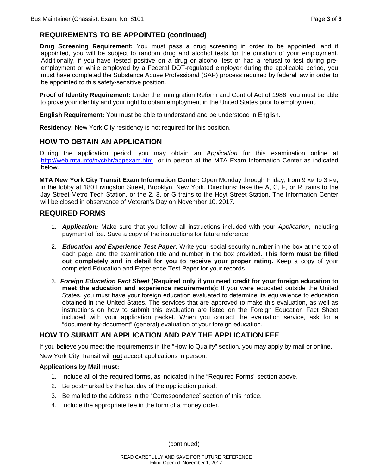#### **REQUIREMENTS TO BE APPOINTED (continued)**

**Drug Screening Requirement:** You must pass a drug screening in order to be appointed, and if appointed, you will be subject to random drug and alcohol tests for the duration of your employment. Additionally, if you have tested positive on a drug or alcohol test or had a refusal to test during preemployment or while employed by a Federal DOT-regulated employer during the applicable period, you must have completed the Substance Abuse Professional (SAP) process required by federal law in order to be appointed to this safety-sensitive position.

**Proof of Identity Requirement:** Under the Immigration Reform and Control Act of 1986, you must be able to prove your identity and your right to obtain employment in the United States prior to employment.

**English Requirement:** You must be able to understand and be understood in English.

**Residency:** New York City residency is not required for this position.

## **HOW TO OBTAIN AN APPLICATION**

During the application period, you may obtain an *Application* for this examination online at http://web.mta.info/nyct/hr/appexam.htm or in person at the MTA Exam Information Center as indicated below.

**MTA New York City Transit Exam Information Center:** Open Monday through Friday, from 9 AM to 3 PM, in the lobby at 180 Livingston Street, Brooklyn, New York. Directions: take the A, C, F, or R trains to the Jay Street-Metro Tech Station, or the 2, 3, or G trains to the Hoyt Street Station. The Information Center will be closed in observance of Veteran's Day on November 10, 2017.

#### **REQUIRED FORMS**

- 1.*Application:* Make sure that you follow all instructions included with your *Application*, including payment of fee. Save a copy of the instructions for future reference.
- 2.*Education and Experience Test Paper:* Write your social security number in the box at the top of each page, and the examination title and number in the box provided. **This form must be filled out completely and in detail for you to receive your proper rating.** Keep a copy of your completed Education and Experience Test Paper for your records.
- 3.*Foreign Education Fact Sheet* **(Required only if you need credit for your foreign education to meet the education and experience requirements):** If you were educated outside the United States, you must have your foreign education evaluated to determine its equivalence to education obtained in the United States. The services that are approved to make this evaluation, as well as instructions on how to submit this evaluation are listed on the Foreign Education Fact Sheet included with your application packet. When you contact the evaluation service, ask for a "document-by-document" (general) evaluation of your foreign education.

## **HOW TO SUBMIT AN APPLICATION AND PAY THE APPLICATION FEE**

If you believe you meet the requirements in the "How to Qualify" section, you may apply by mail or online. New York City Transit will **not** accept applications in person.

#### **Applications by Mail must:**

- 1. Include all of the required forms, as indicated in the "Required Forms" section above.
- 2. Be postmarked by the last day of the application period.
- 3. Be mailed to the address in the "Correspondence" section of this notice.
- 4. Include the appropriate fee in the form of a money order.

(continued)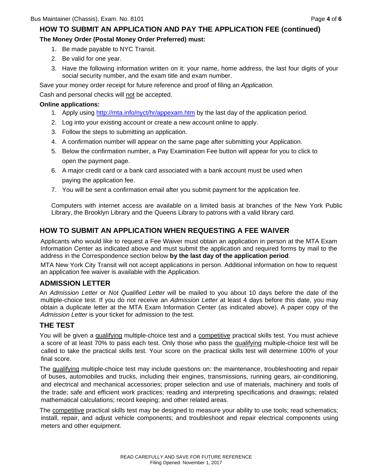## **HOW TO SUBMIT AN APPLICATION AND PAY THE APPLICATION FEE (continued)**

#### **The Money Order (Postal Money Order Preferred) must:**

- 1. Be made payable to NYC Transit.
- 2. Be valid for one year.
- 3. Have the following information written on it: your name, home address, the last four digits of your social security number, and the exam title and exam number.

Save your money order receipt for future reference and proof of filing an *Application*.

Cash and personal checks will not be accepted.

#### **Online applications:**

- 1. Apply using http://mta.info/nyct/hr/appexam.htm by the last day of the application period.
- 2. Log into your existing account or create a new account online to apply.
- 3. Follow the steps to submitting an application.
- 4. A confirmation number will appear on the same page after submitting your Application.
- 5. Below the confirmation number, a Pay Examination Fee button will appear for you to click to open the payment page.
- 6. A major credit card or a bank card associated with a bank account must be used when paying the application fee.
- 7. You will be sent a confirmation email after you submit payment for the application fee.

Computers with internet access are available on a limited basis at branches of the New York Public Library, the Brooklyn Library and the Queens Library to patrons with a valid library card.

## **HOW TO SUBMIT AN APPLICATION WHEN REQUESTING A FEE WAIVER**

Applicants who would like to request a Fee Waiver must obtain an application in person at the MTA Exam Information Center as indicated above and must submit the application and required forms by mail to the address in the Correspondence section below **by the last day of the application period**.

MTA New York City Transit will not accept applications in person. Additional information on how to request an application fee waiver is available with the Application.

## **ADMISSION LETTER**

An *Admission Letter* or *Not Qualified Letter* will be mailed to you about 10 days before the date of the multiple-choice test. If you do not receive an *Admission Letter* at least 4 days before this date, you may obtain a duplicate letter at the MTA Exam Information Center (as indicated above). A paper copy of the *Admission Letter* is your ticket for admission to the test.

## **THE TEST**

You will be given a qualifying multiple-choice test and a competitive practical skills test. You must achieve a score of at least 70% to pass each test. Only those who pass the qualifying multiple-choice test will be called to take the practical skills test. Your score on the practical skills test will determine 100% of your final score.

The qualifying multiple-choice test may include questions on: the maintenance, troubleshooting and repair of buses, automobiles and trucks, including their engines, transmissions, running gears, air-conditioning, and electrical and mechanical accessories; proper selection and use of materials, machinery and tools of the trade; safe and efficient work practices; reading and interpreting specifications and drawings; related mathematical calculations; record keeping; and other related areas.

The competitive practical skills test may be designed to measure your ability to use tools; read schematics; install, repair, and adjust vehicle components; and troubleshoot and repair electrical components using meters and other equipment.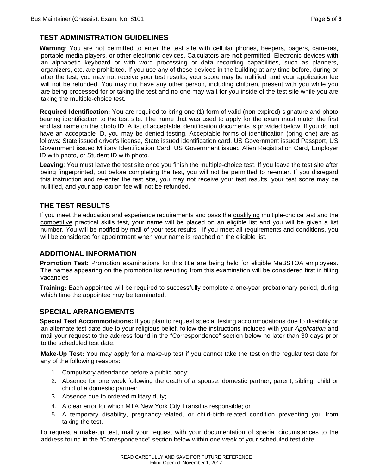## **TEST ADMINISTRATION GUIDELINES**

**Warning**: You are not permitted to enter the test site with cellular phones, beepers, pagers, cameras, portable media players, or other electronic devices. Calculators are **not** permitted. Electronic devices with an alphabetic keyboard or with word processing or data recording capabilities, such as planners, organizers, etc. are prohibited. If you use any of these devices in the building at any time before, during or after the test, you may not receive your test results, your score may be nullified, and your application fee will not be refunded. You may not have any other person, including children, present with you while you are being processed for or taking the test and no one may wait for you inside of the test site while you are taking the multiple-choice test.

**Required Identification:** You are required to bring one (1) form of valid (non-expired) signature and photo bearing identification to the test site. The name that was used to apply for the exam must match the first and last name on the photo ID. A list of acceptable identification documents is provided below. If you do not have an acceptable ID, you may be denied testing. Acceptable forms of identification (bring one) are as follows: State issued driver's license, State issued identification card, US Government issued Passport, US Government issued Military Identification Card, US Government issued Alien Registration Card, Employer ID with photo, or Student ID with photo.

**Leaving**: You must leave the test site once you finish the multiple-choice test. If you leave the test site after being fingerprinted, but before completing the test, you will not be permitted to re-enter. If you disregard this instruction and re-enter the test site, you may not receive your test results, your test score may be nullified, and your application fee will not be refunded.

#### **THE TEST RESULTS**

If you meet the education and experience requirements and pass the qualifying multiple-choice test and the competitive practical skills test, your name will be placed on an eligible list and you will be given a list number. You will be notified by mail of your test results. If you meet all requirements and conditions, you will be considered for appointment when your name is reached on the eligible list.

#### **ADDITIONAL INFORMATION**

**Promotion Test:** Promotion examinations for this title are being held for eligible MaBSTOA employees. The names appearing on the promotion list resulting from this examination will be considered first in filling vacancies

**Training:** Each appointee will be required to successfully complete a one-year probationary period, during which time the appointee may be terminated.

#### **SPECIAL ARRANGEMENTS**

**Special Test Accommodations:** If you plan to request special testing accommodations due to disability or an alternate test date due to your religious belief, follow the instructions included with your *Application* and mail your request to the address found in the "Correspondence" section below no later than 30 days prior to the scheduled test date.

**Make-Up Test:** You may apply for a make-up test if you cannot take the test on the regular test date for any of the following reasons:

- 1. Compulsory attendance before a public body;
- 2. Absence for one week following the death of a spouse, domestic partner, parent, sibling, child or child of a domestic partner;
- 3. Absence due to ordered military duty;
- 4. A clear error for which MTA New York City Transit is responsible; or
- 5. A temporary disability, pregnancy-related, or child-birth-related condition preventing you from taking the test.

To request a make-up test, mail your request with your documentation of special circumstances to the address found in the "Correspondence" section below within one week of your scheduled test date.